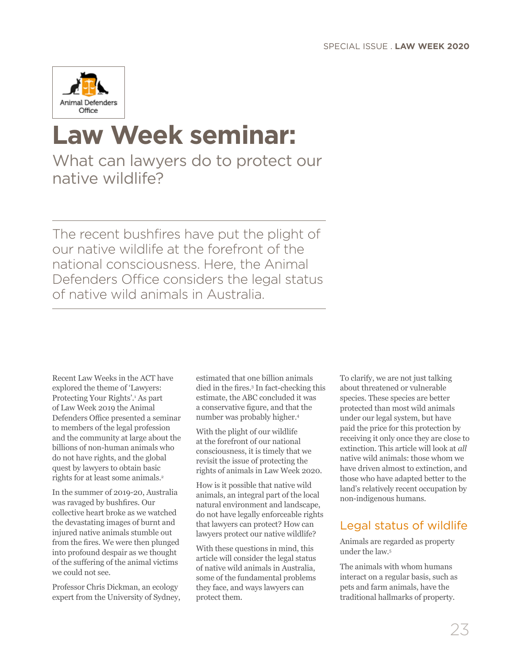

# **Law Week seminar:**

What can lawyers do to protect our native wildlife?

The recent bushfires have put the plight of our native wildlife at the forefront of the national consciousness. Here, the Animal Defenders Office considers the legal status of native wild animals in Australia.

Recent Law Weeks in the ACT have explored the theme of 'Lawyers: Protecting Your Rights'.<sup>1</sup> As part of Law Week 2019 the Animal Defenders Office presented a seminar to members of the legal profession and the community at large about the billions of non-human animals who do not have rights, and the global quest by lawyers to obtain basic rights for at least some animals.<sup>2</sup>

In the summer of 2019-20, Australia was ravaged by bushfires. Our collective heart broke as we watched the devastating images of burnt and injured native animals stumble out from the fires. We were then plunged into profound despair as we thought of the suffering of the animal victims we could not see.

Professor Chris Dickman, an ecology expert from the University of Sydney,

estimated that one billion animals died in the fires.<sup>3</sup> In fact-checking this estimate, the ABC concluded it was a conservative figure, and that the number was probably higher.4

With the plight of our wildlife at the forefront of our national consciousness, it is timely that we revisit the issue of protecting the rights of animals in Law Week 2020.

How is it possible that native wild animals, an integral part of the local natural environment and landscape, do not have legally enforceable rights that lawyers can protect? How can lawyers protect our native wildlife?

With these questions in mind, this article will consider the legal status of native wild animals in Australia, some of the fundamental problems they face, and ways lawyers can protect them.

To clarify, we are not just talking about threatened or vulnerable species. These species are better protected than most wild animals under our legal system, but have paid the price for this protection by receiving it only once they are close to extinction. This article will look at *all* native wild animals: those whom we have driven almost to extinction, and those who have adapted better to the land's relatively recent occupation by non-indigenous humans.

## Legal status of wildlife

Animals are regarded as property under the law.5

The animals with whom humans interact on a regular basis, such as pets and farm animals, have the traditional hallmarks of property.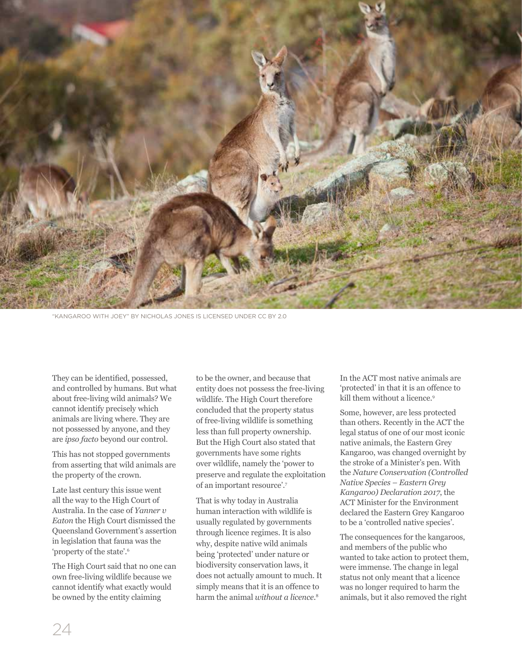

"KANGAROO WITH JOEY" BY [NICHOLAS JONES](https://www.flickr.com/photos/nicholasjones/) IS LICENSED UNDER CC BY 2.0

They can be identified, possessed, and controlled by humans. But what about free-living wild animals? We cannot identify precisely which animals are living where. They are not possessed by anyone, and they are *ipso facto* beyond our control.

This has not stopped governments from asserting that wild animals are the property of the crown.

Late last century this issue went all the way to the High Court of Australia. In the case of *Yanner v Eaton* the High Court dismissed the Queensland Government's assertion in legislation that fauna was the 'property of the state'.6

The High Court said that no one can own free-living wildlife because we cannot identify what exactly would be owned by the entity claiming

to be the owner, and because that entity does not possess the free-living wildlife. The High Court therefore concluded that the property status of free-living wildlife is something less than full property ownership. But the High Court also stated that governments have some rights over wildlife, namely the 'power to preserve and regulate the exploitation of an important resource'.7

That is why today in Australia human interaction with wildlife is usually regulated by governments through licence regimes. It is also why, despite native wild animals being 'protected' under nature or biodiversity conservation laws, it does not actually amount to much. It simply means that it is an offence to harm the animal *without a licence*. 8

In the ACT most native animals are 'protected' in that it is an offence to kill them without a licence.<sup>9</sup>

Some, however, are less protected than others. Recently in the ACT the legal status of one of our most iconic native animals, the Eastern Grey Kangaroo, was changed overnight by the stroke of a Minister's pen. With the *Nature Conservation (Controlled Native Species – Eastern Grey Kangaroo) Declaration 2017*, the ACT Minister for the Environment declared the Eastern Grey Kangaroo to be a 'controlled native species'.

The consequences for the kangaroos, and members of the public who wanted to take action to protect them, were immense. The change in legal status not only meant that a licence was no longer required to harm the animals, but it also removed the right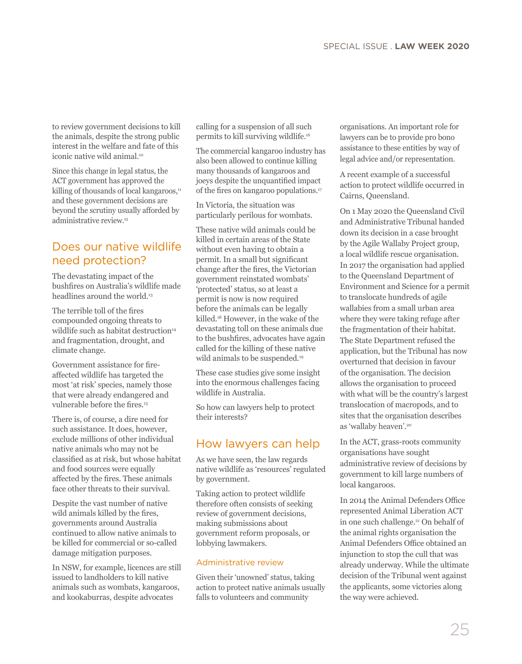to review government decisions to kill the animals, despite the strong public interest in the welfare and fate of this iconic native wild animal.<sup>10</sup>

Since this change in legal status, the ACT government has approved the killing of thousands of local kangaroos,<sup>11</sup> and these government decisions are beyond the scrutiny usually afforded by administrative review.12

## Does our native wildlife need protection?

The devastating impact of the bushfires on Australia's wildlife made headlines around the world.<sup>13</sup>

The terrible toll of the fires compounded ongoing threats to wildlife such as habitat destruction<sup>14</sup> and fragmentation, drought, and climate change.

Government assistance for fireaffected wildlife has targeted the most 'at risk' species, namely those that were already endangered and vulnerable before the fires.<sup>15</sup>

There is, of course, a dire need for such assistance. It does, however, exclude millions of other individual native animals who may not be classified as at risk, but whose habitat and food sources were equally affected by the fires. These animals face other threats to their survival.

Despite the vast number of native wild animals killed by the fires, governments around Australia continued to allow native animals to be killed for commercial or so-called damage mitigation purposes.

In NSW, for example, licences are still issued to landholders to kill native animals such as wombats, kangaroos, and kookaburras, despite advocates

calling for a suspension of all such permits to kill surviving wildlife.16

The commercial kangaroo industry has also been allowed to continue killing many thousands of kangaroos and joeys despite the unquantified impact of the fires on kangaroo populations.<sup>17</sup>

In Victoria, the situation was particularly perilous for wombats.

These native wild animals could be killed in certain areas of the State without even having to obtain a permit. In a small but significant change after the fires, the Victorian government reinstated wombats' 'protected' status, so at least a permit is now is now required before the animals can be legally killed.18 However, in the wake of the devastating toll on these animals due to the bushfires, advocates have again called for the killing of these native wild animals to be suspended.<sup>19</sup>

These case studies give some insight into the enormous challenges facing wildlife in Australia.

So how can lawyers help to protect their interests?

### How lawyers can help

As we have seen, the law regards native wildlife as 'resources' regulated by government.

Taking action to protect wildlife therefore often consists of seeking review of government decisions, making submissions about government reform proposals, or lobbying lawmakers.

#### Administrative review

Given their 'unowned' status, taking action to protect native animals usually falls to volunteers and community

organisations. An important role for lawyers can be to provide pro bono assistance to these entities by way of legal advice and/or representation.

A recent example of a successful action to protect wildlife occurred in Cairns, Queensland.

On 1 May 2020 the Queensland Civil and Administrative Tribunal handed down its decision in a case brought by the Agile Wallaby Project group, a local wildlife rescue organisation. In 2017 the organisation had applied to the Queensland Department of Environment and Science for a permit to translocate hundreds of agile wallabies from a small urban area where they were taking refuge after the fragmentation of their habitat. The State Department refused the application, but the Tribunal has now overturned that decision in favour of the organisation. The decision allows the organisation to proceed with what will be the country's largest translocation of macropods, and to sites that the organisation describes as 'wallaby heaven'.20

In the ACT, grass-roots community organisations have sought administrative review of decisions by government to kill large numbers of local kangaroos.

In 2014 the Animal Defenders Office represented Animal Liberation ACT in one such challenge.<sup>21</sup> On behalf of the animal rights organisation the Animal Defenders Office obtained an injunction to stop the cull that was already underway. While the ultimate decision of the Tribunal went against the applicants, some victories along the way were achieved.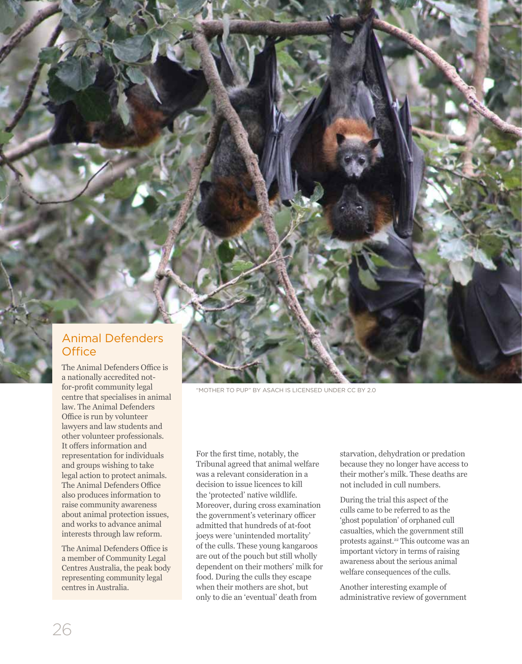## Animal Defenders **Office**

**ETHOSPHERE . LAW SOCIETY OF THE ACT JOURNAL COMPANY . LAW SOCIETY OF THE ACT JOURNAL COMPANY . LAW SOCIETY OF THE ACT JOURNAL COMPANY . LAW SOCIETY OF THE ACT JOURNAL COMPANY . LAW SOCIETY OF THE ACT OF THE ACT OF THE ACT** 

The Animal Defenders Office is a nationally accredited notfor-profit community legal centre that specialises in animal law. The Animal Defenders Office is run by volunteer lawyers and law students and other volunteer professionals. It offers information and representation for individuals and groups wishing to take legal action to protect animals. The Animal Defenders Office also produces information to raise community awareness about animal protection issues, and works to advance animal interests through law reform.

The Animal Defenders Office is a member of Community Legal Centres Australia, the peak body representing community legal centres in Australia.

"MOTHER TO PUP" BY [ASACH](https://www.flickr.com/photos/holcombea/) IS LICENSED UNDER CC BY 2.0

For the first time, notably, the Tribunal agreed that animal welfare was a relevant consideration in a decision to issue licences to kill the 'protected' native wildlife. Moreover, during cross examination the government's veterinary officer admitted that hundreds of at-foot joeys were 'unintended mortality' of the culls. These young kangaroos are out of the pouch but still wholly dependent on their mothers' milk for food. During the culls they escape when their mothers are shot, but only to die an 'eventual' death from

starvation, dehydration or predation because they no longer have access to their mother's milk. These deaths are not included in cull numbers.

During the trial this aspect of the culls came to be referred to as the 'ghost population' of orphaned cull casualties, which the government still protests against.22 This outcome was an important victory in terms of raising awareness about the serious animal welfare consequences of the culls.

Another interesting example of administrative review of government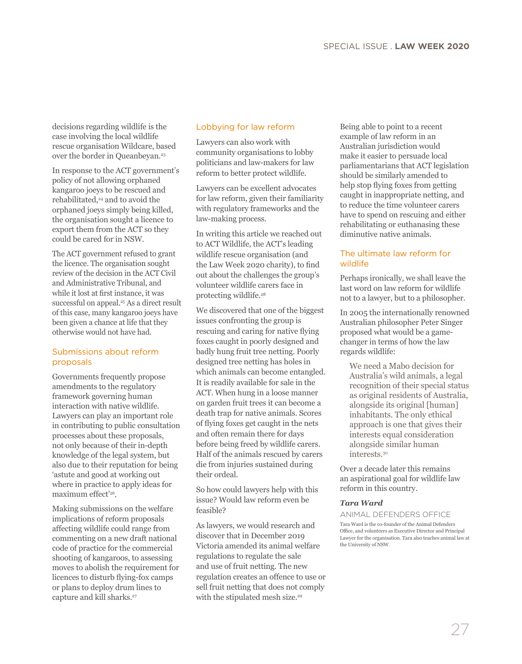decisions regarding wildlife is the case involving the local wildlife rescue organisation Wildcare, based over the border in Queanbeyan.23

In response to the ACT government's policy of not allowing orphaned kangaroo joeys to be rescued and rehabilitated,<sup>24</sup> and to avoid the orphaned joeys simply being killed, the organisation sought a licence to export them from the ACT so they could be cared for in NSW.

The ACT government refused to grant the licence. The organisation sought review of the decision in the ACT Civil and Administrative Tribunal, and while it lost at first instance, it was successful on appeal.<sup>25</sup> As a direct result of this case, many kangaroo joeys have been given a chance at life that they otherwise would not have had.

#### Submissions about reform proposals

Governments frequently propose amendments to the regulatory framework governing human interaction with native wildlife. Lawyers can play an important role in contributing to public consultation processes about these proposals, not only because of their in-depth knowledge of the legal system, but also due to their reputation for being 'astute and good at working out where in practice to apply ideas for maximum effect'26.

Making submissions on the welfare implications of reform proposals affecting wildlife could range from commenting on a new draft national code of practice for the commercial shooting of kangaroos, to assessing moves to abolish the requirement for licences to disturb flying-fox camps or plans to deploy drum lines to capture and kill sharks.<sup>27</sup>

#### Lobbying for law reform

Lawyers can also work with community organisations to lobby politicians and law-makers for law reform to better protect wildlife.

Lawyers can be excellent advocates for law reform, given their familiarity with regulatory frameworks and the law-making process.

In writing this article we reached out to ACT Wildlife, the ACT's leading wildlife rescue organisation (and the Law Week 2020 charity), to find out about the challenges the group's volunteer wildlife carers face in protecting wildlife.28

We discovered that one of the biggest issues confronting the group is rescuing and caring for native flying foxes caught in poorly designed and badly hung fruit tree netting. Poorly designed tree netting has holes in which animals can become entangled. It is readily available for sale in the ACT. When hung in a loose manner on garden fruit trees it can become a death trap for native animals. Scores of flying foxes get caught in the nets and often remain there for days before being freed by wildlife carers. Half of the animals rescued by carers die from injuries sustained during their ordeal.

So how could lawyers help with this issue? Would law reform even be feasible?

As lawyers, we would research and discover that in December 2019 Victoria amended its animal welfare regulations to regulate the sale and use of fruit netting. The new regulation creates an offence to use or sell fruit netting that does not comply with the stipulated mesh size.<sup>29</sup>

Being able to point to a recent example of law reform in an Australian jurisdiction would make it easier to persuade local parliamentarians that ACT legislation should be similarly amended to help stop flying foxes from getting caught in inappropriate netting, and to reduce the time volunteer carers have to spend on rescuing and either rehabilitating or euthanasing these diminutive native animals.

#### The ultimate law reform for wildlife

Perhaps ironically, we shall leave the last word on law reform for wildlife not to a lawyer, but to a philosopher.

In 2005 the internationally renowned Australian philosopher Peter Singer proposed what would be a gamechanger in terms of how the law regards wildlife:

We need a Mabo decision for Australia's wild animals, a legal recognition of their special status as original residents of Australia, alongside its original [human] inhabitants. The only ethical approach is one that gives their interests equal consideration alongside similar human interests.30

Over a decade later this remains an aspirational goal for wildlife law reform in this country.

#### *Tara Ward*

ANIMAL DEFENDERS OFFICE Tara Ward is the co-founder of the Animal Defenders Office, and volunteers as Executive Director and Principal Lawyer for the organisation. Tara also teaches animal law at the University of NSW.